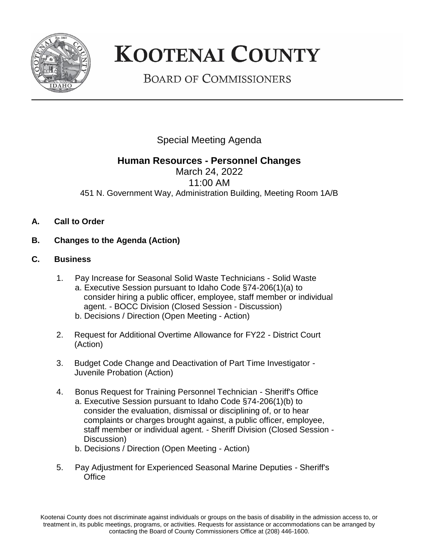

## **KOOTENAI COUNTY**

**BOARD OF COMMISSIONERS** 

Special Meeting Agenda

## **Human Resources - Personnel Changes**

March 24, 2022 11:00 AM 451 N. Government Way, Administration Building, Meeting Room 1A/B

- **A. Call to Order**
- **B. Changes to the Agenda (Action)**
- **C. Business**
	- 1. Pay Increase for Seasonal Solid Waste Technicians Solid Waste a. Executive Session pursuant to Idaho Code §74-206(1)(a) to consider hiring a public officer, employee, staff member or individual agent. - BOCC Division (Closed Session - Discussion) b. Decisions / Direction (Open Meeting - Action)
	- 2. Request for Additional Overtime Allowance for FY22 District Court (Action)
	- 3. Budget Code Change and Deactivation of Part Time Investigator Juvenile Probation (Action)
	- 4. Bonus Request for Training Personnel Technician Sheriff's Office a. Executive Session pursuant to Idaho Code §74-206(1)(b) to consider the evaluation, dismissal or disciplining of, or to hear complaints or charges brought against, a public officer, employee, staff member or individual agent. - Sheriff Division (Closed Session - Discussion)
		- b. Decisions / Direction (Open Meeting Action)
	- 5. Pay Adjustment for Experienced Seasonal Marine Deputies Sheriff's **Office**

Kootenai County does not discriminate against individuals or groups on the basis of disability in the admission access to, or treatment in, its public meetings, programs, or activities. Requests for assistance or accommodations can be arranged by contacting the Board of County Commissioners Office at (208) 446-1600.